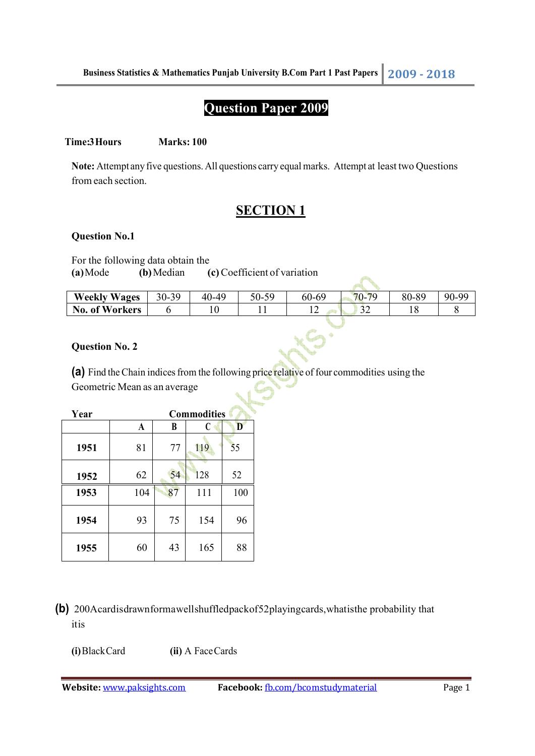# **Question Paper 2009**

#### **Time:3 Hours** Marks: 100

**Note:** Attempt any five questions. All questions carry equal marks. Attempt at least two Questions from each section.

## **SECTION 1**

#### **Question No.1**

For the following data obtain the

**(a)** Mode **(b)** Median **(c)** Coefficient of variation

| <b>Weekly Wages</b> | 30-39 | 40-49 | 59<br>$50-$ | 60-69 | $70-$<br>70   | 80-89 | .ac |
|---------------------|-------|-------|-------------|-------|---------------|-------|-----|
| of Workers<br>No.   |       |       |             |       | $\sim$<br>ے ر |       |     |
|                     |       |       |             |       |               |       |     |

#### **Question No. 2**

**(a)** Find the Chain indices from the following price relative of four commodities using the Geometric Mean as an average

| Year | <b>Commodities</b> |    |     |     |  |
|------|--------------------|----|-----|-----|--|
|      | A                  | B  | C   | D   |  |
| 1951 | 81                 | 77 | 119 | 55  |  |
| 1952 | 62                 | 54 | 128 | 52  |  |
| 1953 | 104                | 87 | 111 | 100 |  |
| 1954 | 93                 | 75 | 154 | 96  |  |
| 1955 | 60                 | 43 | 165 | 88  |  |

**(b)** 200A card is drawn form a well shuffled pack of 52 playing cards, what is the probability that it is

**(i)** Black Card **(ii)** A Face Cards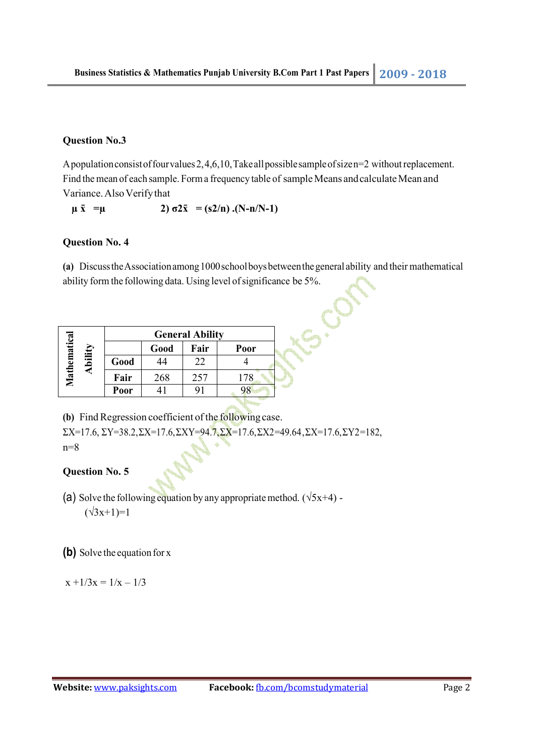#### **Question No.3**

A population consist of four values 2, 4,6,10, Take all possible sample of size n=2 without replacement. Find the mean of each sample. Form a frequency table of sample Means and calculate Mean and Variance. Also Verify that

 $\mu \bar{x}$  =  $\mu$  2)  $\sigma 2\bar{x}$  = (s2/n) .(N-n/N-1)

#### **Question No. 4**

**(a)** Discuss the Association among 1000 school boys between the general ability and their mathematical ability form the following data. Using level of significance be 5%.

**HS.CL** 

|                        |      | <b>General Ability</b> |      |      |      |  |  |
|------------------------|------|------------------------|------|------|------|--|--|
|                        |      |                        | Good | Fair | Poor |  |  |
| Mathematica<br>Ability | Good |                        | 22   |      |      |  |  |
|                        | Fair | 268                    | 257  | 178  |      |  |  |
|                        | Poor |                        |      |      |      |  |  |

**(b)** Find Regression coefficient of the following case.

 $\Sigma X=17.6$ ,  $\Sigma Y=38.2$ ,  $\Sigma X=17.6$ ,  $\Sigma XY=94.7$ ,  $\Sigma X=17.6$ ,  $\Sigma X2=49.64$ ,  $\Sigma X=17.6$ ,  $\Sigma Y2=182$ , n=8

#### **Question No. 5**

- (a) Solve the following equation by any appropriate method.  $(\sqrt{5x+4})$  - $(\sqrt{3}x+1)=1$
- **(b)** Solve the equation for x

 $x + 1/3x = 1/x - 1/3$